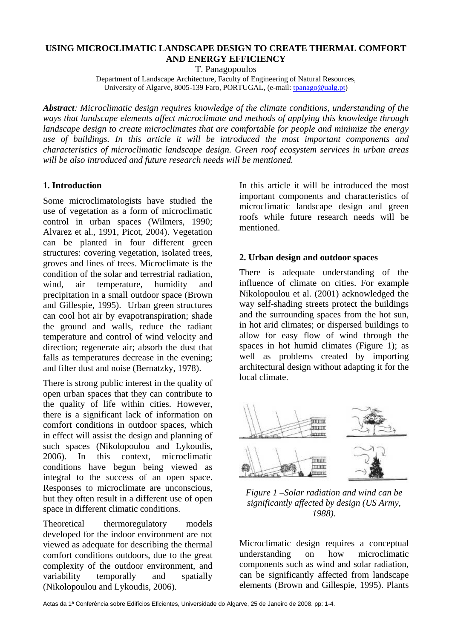## **USING MICROCLIMATIC LANDSCAPE DESIGN TO CREATE THERMAL COMFORT AND ENERGY EFFICIENCY**

T. Panagopoulos

Department of Landscape Architecture, Faculty of Engineering of Natural Resources, University of Algarve, 8005-139 Faro, PORTUGAL, (e-mail: tpanago@ualg.pt)

*Abstract: Microclimatic design requires knowledge of the climate conditions, understanding of the ways that landscape elements affect microclimate and methods of applying this knowledge through landscape design to create microclimates that are comfortable for people and minimize the energy use of buildings. In this article it will be introduced the most important components and characteristics of microclimatic landscape design. Green roof ecosystem services in urban areas will be also introduced and future research needs will be mentioned.* 

## **1. Introduction**

Some microclimatologists have studied the use of vegetation as a form of microclimatic control in urban spaces (Wilmers, 1990; Alvarez et al., 1991, Picot, 2004). Vegetation can be planted in four different green structures: covering vegetation, isolated trees, groves and lines of trees. Microclimate is the condition of the solar and terrestrial radiation, wind, air temperature, humidity and precipitation in a small outdoor space (Brown and Gillespie, 1995). Urban green structures can cool hot air by evapotranspiration; shade the ground and walls, reduce the radiant temperature and control of wind velocity and direction; regenerate air; absorb the dust that falls as temperatures decrease in the evening; and filter dust and noise (Bernatzky, 1978).

There is strong public interest in the quality of open urban spaces that they can contribute to the quality of life within cities. However, there is a significant lack of information on comfort conditions in outdoor spaces, which in effect will assist the design and planning of such spaces (Nikolopoulou and Lykoudis, 2006). In this context, microclimatic conditions have begun being viewed as integral to the success of an open space. Responses to microclimate are unconscious, but they often result in a different use of open space in different climatic conditions.

Theoretical thermoregulatory models developed for the indoor environment are not viewed as adequate for describing the thermal comfort conditions outdoors, due to the great complexity of the outdoor environment, and variability temporally and spatially (Nikolopoulou and Lykoudis, 2006).

In this article it will be introduced the most important components and characteristics of microclimatic landscape design and green roofs while future research needs will be mentioned.

## **2. Urban design and outdoor spaces**

There is adequate understanding of the influence of climate on cities. For example Nikolopoulou et al. (2001) acknowledged the way self-shading streets protect the buildings and the surrounding spaces from the hot sun, in hot arid climates; or dispersed buildings to allow for easy flow of wind through the spaces in hot humid climates (Figure 1); as well as problems created by importing architectural design without adapting it for the local climate.



*Figure 1 –Solar radiation and wind can be significantly affected by design (US Army, 1988).* 

Microclimatic design requires a conceptual understanding on how microclimatic components such as wind and solar radiation, can be significantly affected from landscape elements (Brown and Gillespie, 1995). Plants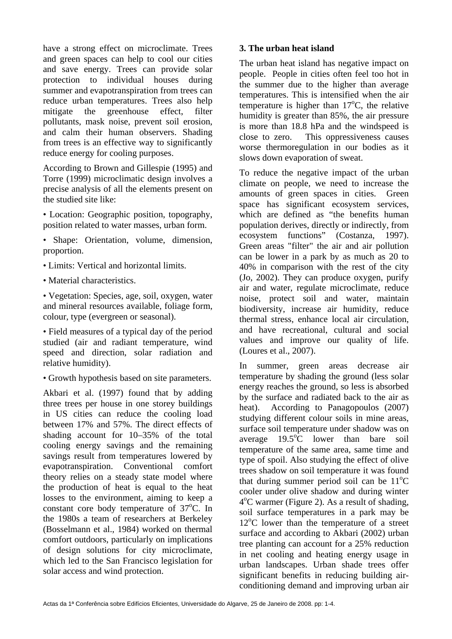have a strong effect on microclimate. Trees and green spaces can help to cool our cities and save energy. Trees can provide solar protection to individual houses during summer and evapotranspiration from trees can reduce urban temperatures. Trees also help mitigate the greenhouse effect, filter pollutants, mask noise, prevent soil erosion, and calm their human observers. Shading from trees is an effective way to significantly reduce energy for cooling purposes.

According to Brown and Gillespie (1995) and Torre (1999) microclimatic design involves a precise analysis of all the elements present on the studied site like:

• Location: Geographic position, topography, position related to water masses, urban form.

• Shape: Orientation, volume, dimension, proportion.

- Limits: Vertical and horizontal limits.
- Material characteristics.

• Vegetation: Species, age, soil, oxygen, water and mineral resources available, foliage form, colour, type (evergreen or seasonal).

• Field measures of a typical day of the period studied (air and radiant temperature, wind speed and direction, solar radiation and relative humidity).

• Growth hypothesis based on site parameters.

Akbari et al. (1997) found that by adding three trees per house in one storey buildings in US cities can reduce the cooling load between 17% and 57%. The direct effects of shading account for 10–35% of the total cooling energy savings and the remaining savings result from temperatures lowered by evapotranspiration. Conventional comfort theory relies on a steady state model where the production of heat is equal to the heat losses to the environment, aiming to keep a constant core body temperature of  $37^{\circ}$ C. In the 1980s a team of researchers at Berkeley (Bosselmann et al., 1984) worked on thermal comfort outdoors, particularly on implications of design solutions for city microclimate, which led to the San Francisco legislation for solar access and wind protection.

#### **3. The urban heat island**

The urban heat island has negative impact on people. People in cities often feel too hot in the summer due to the higher than average temperatures. This is intensified when the air temperature is higher than  $17^{\circ}$ C, the relative humidity is greater than 85%, the air pressure is more than 18.8 hPa and the windspeed is close to zero. This oppressiveness causes worse thermoregulation in our bodies as it slows down evaporation of sweat.

To reduce the negative impact of the urban climate on people, we need to increase the amounts of green spaces in cities. Green space has significant ecosystem services, which are defined as "the benefits human population derives, directly or indirectly, from ecosystem functions" (Costanza, 1997). Green areas "filter" the air and air pollution can be lower in a park by as much as 20 to 40% in comparison with the rest of the city (Jo, 2002). They can produce oxygen, purify air and water, regulate microclimate, reduce noise, protect soil and water, maintain biodiversity, increase air humidity, reduce thermal stress, enhance local air circulation, and have recreational, cultural and social values and improve our quality of life. (Loures et al., 2007).

In summer, green areas decrease air temperature by shading the ground (less solar energy reaches the ground, so less is absorbed by the surface and radiated back to the air as heat). According to Panagopoulos (2007) studying different colour soils in mine areas, surface soil temperature under shadow was on average  $19.5^{\circ}$ C lower than bare soil temperature of the same area, same time and type of spoil. Also studying the effect of olive trees shadow on soil temperature it was found that during summer period soil can be  $11^{\circ}$ C cooler under olive shadow and during winter 4<sup>o</sup>C warmer (Figure 2). As a result of shading, soil surface temperatures in a park may be 12<sup>o</sup>C lower than the temperature of a street surface and according to Akbari (2002) urban tree planting can account for a 25% reduction in net cooling and heating energy usage in urban landscapes. Urban shade trees offer significant benefits in reducing building airconditioning demand and improving urban air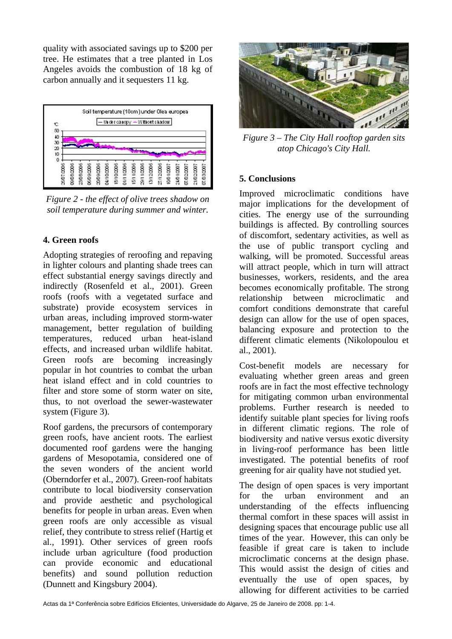quality with associated savings up to \$200 per tree. He estimates that a tree planted in Los Angeles avoids the combustion of 18 kg of carbon annually and it sequesters 11 kg.



*Figure 2 - the effect of olive trees shadow on soil temperature during summer and winter.* 

# **4. Green roofs**

Adopting strategies of reroofing and repaving in lighter colours and planting shade trees can effect substantial energy savings directly and indirectly (Rosenfeld et al., 2001). Green roofs (roofs with a vegetated surface and substrate) provide ecosystem services in urban areas, including improved storm-water management, better regulation of building temperatures, reduced urban heat-island effects, and increased urban wildlife habitat. Green roofs are becoming increasingly popular in hot countries to combat the urban heat island effect and in cold countries to filter and store some of storm water on site, thus, to not overload the sewer-wastewater system (Figure 3).

Roof gardens, the precursors of contemporary green roofs, have ancient roots. The earliest documented roof gardens were the hanging gardens of Mesopotamia, considered one of the seven wonders of the ancient world (Oberndorfer et al., 2007). Green-roof habitats contribute to local biodiversity conservation and provide aesthetic and psychological benefits for people in urban areas. Even when green roofs are only accessible as visual relief, they contribute to stress relief (Hartig et al., 1991). Other services of green roofs include urban agriculture (food production can provide economic and educational benefits) and sound pollution reduction (Dunnett and Kingsbury 2004).



*Figure 3 – The City Hall rooftop garden sits atop Chicago's City Hall.* 

## **5. Conclusions**

Improved microclimatic conditions have major implications for the development of cities. The energy use of the surrounding buildings is affected. By controlling sources of discomfort, sedentary activities, as well as the use of public transport cycling and walking, will be promoted. Successful areas will attract people, which in turn will attract businesses, workers, residents, and the area becomes economically profitable. The strong relationship between microclimatic and comfort conditions demonstrate that careful design can allow for the use of open spaces, balancing exposure and protection to the different climatic elements (Nikolopoulou et al., 2001).

Cost-benefit models are necessary for evaluating whether green areas and green roofs are in fact the most effective technology for mitigating common urban environmental problems. Further research is needed to identify suitable plant species for living roofs in different climatic regions. The role of biodiversity and native versus exotic diversity in living-roof performance has been little investigated. The potential benefits of roof greening for air quality have not studied yet.

The design of open spaces is very important for the urban environment and an understanding of the effects influencing thermal comfort in these spaces will assist in designing spaces that encourage public use all times of the year. However, this can only be feasible if great care is taken to include microclimatic concerns at the design phase. This would assist the design of cities and eventually the use of open spaces, by allowing for different activities to be carried